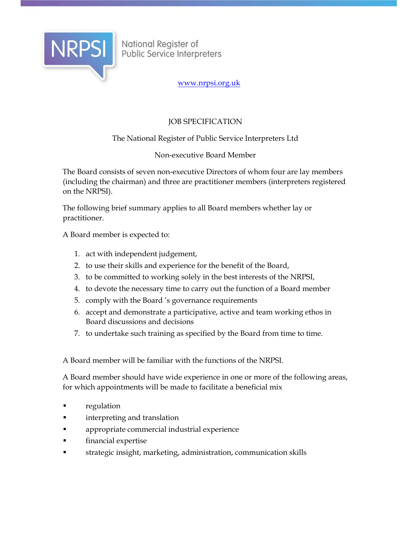

National Register of<br>Public Service Interpreters

www.nrpsi.org.uk

# JOB SPECIFICATION

## The National Register of Public Service Interpreters Ltd

## Non-executive Board Member

The Board consists of seven non-executive Directors of whom four are lay members (including the chairman) and three are practitioner members (interpreters registered on the NRPSI).

The following brief summary applies to all Board members whether lay or practitioner.

A Board member is expected to:

- 1. act with independent judgement,
- 2. to use their skills and experience for the benefit of the Board,
- 3. to be committed to working solely in the best interests of the NRPSI,
- 4. to devote the necessary time to carry out the function of a Board member
- 5. comply with the Board 's governance requirements
- 6. accept and demonstrate a participative, active and team working ethos in Board discussions and decisions
- 7. to undertake such training as specified by the Board from time to time.

A Board member will be familiar with the functions of the NRPSI.

A Board member should have wide experience in one or more of the following areas, for which appointments will be made to facilitate a beneficial mix

- regulation
- interpreting and translation
- appropriate commercial industrial experience
- financial expertise
- strategic insight, marketing, administration, communication skills